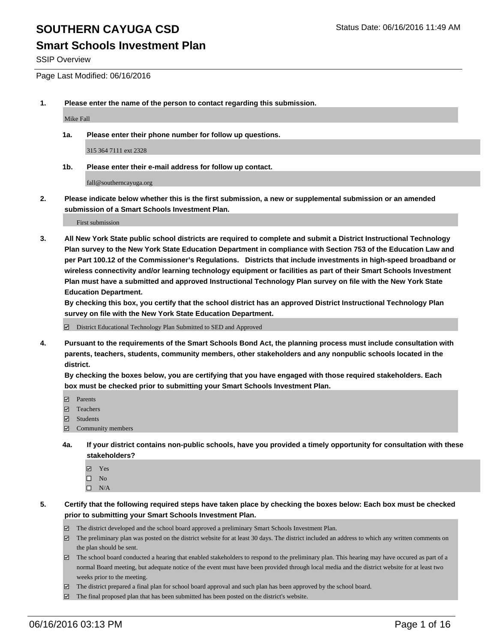#### **Smart Schools Investment Plan**

SSIP Overview

Page Last Modified: 06/16/2016

**1. Please enter the name of the person to contact regarding this submission.**

Mike Fall

**1a. Please enter their phone number for follow up questions.**

315 364 7111 ext 2328

**1b. Please enter their e-mail address for follow up contact.**

fall@southerncayuga.org

**2. Please indicate below whether this is the first submission, a new or supplemental submission or an amended submission of a Smart Schools Investment Plan.**

First submission

**3. All New York State public school districts are required to complete and submit a District Instructional Technology Plan survey to the New York State Education Department in compliance with Section 753 of the Education Law and per Part 100.12 of the Commissioner's Regulations. Districts that include investments in high-speed broadband or wireless connectivity and/or learning technology equipment or facilities as part of their Smart Schools Investment Plan must have a submitted and approved Instructional Technology Plan survey on file with the New York State Education Department.** 

**By checking this box, you certify that the school district has an approved District Instructional Technology Plan survey on file with the New York State Education Department.**

District Educational Technology Plan Submitted to SED and Approved

**4. Pursuant to the requirements of the Smart Schools Bond Act, the planning process must include consultation with parents, teachers, students, community members, other stakeholders and any nonpublic schools located in the district.** 

**By checking the boxes below, you are certifying that you have engaged with those required stakeholders. Each box must be checked prior to submitting your Smart Schools Investment Plan.**

- **Parents**
- Teachers
- $\blacksquare$  Students
- Community members
- **4a. If your district contains non-public schools, have you provided a timely opportunity for consultation with these stakeholders?**
	- Yes  $\square$  No
	- $\square$  N/A
- **5. Certify that the following required steps have taken place by checking the boxes below: Each box must be checked prior to submitting your Smart Schools Investment Plan.**
	- The district developed and the school board approved a preliminary Smart Schools Investment Plan.
	- $\Box$  The preliminary plan was posted on the district website for at least 30 days. The district included an address to which any written comments on the plan should be sent.
	- $\Box$  The school board conducted a hearing that enabled stakeholders to respond to the preliminary plan. This hearing may have occured as part of a normal Board meeting, but adequate notice of the event must have been provided through local media and the district website for at least two weeks prior to the meeting.
	- The district prepared a final plan for school board approval and such plan has been approved by the school board.
	- $\boxdot$  The final proposed plan that has been submitted has been posted on the district's website.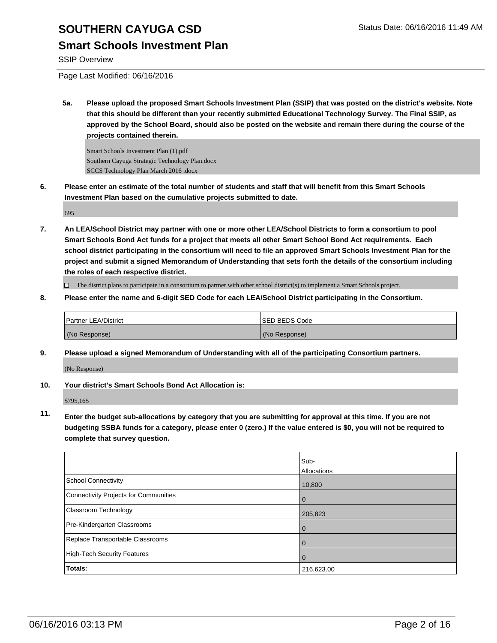## **Smart Schools Investment Plan**

SSIP Overview

Page Last Modified: 06/16/2016

**5a. Please upload the proposed Smart Schools Investment Plan (SSIP) that was posted on the district's website. Note that this should be different than your recently submitted Educational Technology Survey. The Final SSIP, as approved by the School Board, should also be posted on the website and remain there during the course of the projects contained therein.**

Smart Schools Investment Plan (1).pdf Southern Cayuga Strategic Technology Plan.docx SCCS Technology Plan March 2016 .docx

**6. Please enter an estimate of the total number of students and staff that will benefit from this Smart Schools Investment Plan based on the cumulative projects submitted to date.**

695

**7. An LEA/School District may partner with one or more other LEA/School Districts to form a consortium to pool Smart Schools Bond Act funds for a project that meets all other Smart School Bond Act requirements. Each school district participating in the consortium will need to file an approved Smart Schools Investment Plan for the project and submit a signed Memorandum of Understanding that sets forth the details of the consortium including the roles of each respective district.**

 $\Box$  The district plans to participate in a consortium to partner with other school district(s) to implement a Smart Schools project.

**8. Please enter the name and 6-digit SED Code for each LEA/School District participating in the Consortium.**

| Partner LEA/District | <b>ISED BEDS Code</b> |
|----------------------|-----------------------|
| (No Response)        | (No Response)         |

**9. Please upload a signed Memorandum of Understanding with all of the participating Consortium partners.**

(No Response)

**10. Your district's Smart Schools Bond Act Allocation is:**

\$795,165

**11. Enter the budget sub-allocations by category that you are submitting for approval at this time. If you are not budgeting SSBA funds for a category, please enter 0 (zero.) If the value entered is \$0, you will not be required to complete that survey question.**

|                                       | Sub-<br>Allocations |
|---------------------------------------|---------------------|
| <b>School Connectivity</b>            | 10,800              |
| Connectivity Projects for Communities | 0                   |
| <b>Classroom Technology</b>           | 205,823             |
| Pre-Kindergarten Classrooms           | 0                   |
| Replace Transportable Classrooms      | 0                   |
| High-Tech Security Features           | 0                   |
| <b>Totals:</b>                        | 216,623.00          |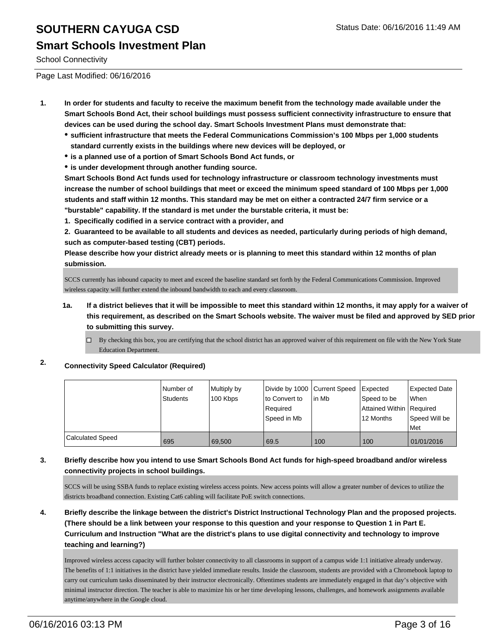### **Smart Schools Investment Plan**

School Connectivity

Page Last Modified: 06/16/2016

- **1. In order for students and faculty to receive the maximum benefit from the technology made available under the Smart Schools Bond Act, their school buildings must possess sufficient connectivity infrastructure to ensure that devices can be used during the school day. Smart Schools Investment Plans must demonstrate that:**
	- **sufficient infrastructure that meets the Federal Communications Commission's 100 Mbps per 1,000 students standard currently exists in the buildings where new devices will be deployed, or**
	- **is a planned use of a portion of Smart Schools Bond Act funds, or**
	- **is under development through another funding source.**

**Smart Schools Bond Act funds used for technology infrastructure or classroom technology investments must increase the number of school buildings that meet or exceed the minimum speed standard of 100 Mbps per 1,000 students and staff within 12 months. This standard may be met on either a contracted 24/7 firm service or a "burstable" capability. If the standard is met under the burstable criteria, it must be:**

**1. Specifically codified in a service contract with a provider, and**

**2. Guaranteed to be available to all students and devices as needed, particularly during periods of high demand, such as computer-based testing (CBT) periods.**

**Please describe how your district already meets or is planning to meet this standard within 12 months of plan submission.**

SCCS currently has inbound capacity to meet and exceed the baseline standard set forth by the Federal Communications Commission. Improved wireless capacity will further extend the inbound bandwidth to each and every classroom.

- **1a. If a district believes that it will be impossible to meet this standard within 12 months, it may apply for a waiver of this requirement, as described on the Smart Schools website. The waiver must be filed and approved by SED prior to submitting this survey.**
	- $\Box$  By checking this box, you are certifying that the school district has an approved waiver of this requirement on file with the New York State Education Department.

#### **2. Connectivity Speed Calculator (Required)**

|                         | l Number of<br><b>Students</b> | Multiply by<br>100 Kbps | Divide by 1000 Current Speed<br>lto Convert to<br>Reauired<br>Speed in Mb | lin Mb | Expected<br>Speed to be<br>Attained Within   Required<br>12 Months | <b>Expected Date</b><br>When<br>Speed Will be<br>Met |
|-------------------------|--------------------------------|-------------------------|---------------------------------------------------------------------------|--------|--------------------------------------------------------------------|------------------------------------------------------|
|                         |                                |                         |                                                                           |        |                                                                    |                                                      |
| <b>Calculated Speed</b> | 695                            | 69.500                  | 69.5                                                                      | 100    | 100                                                                | 01/01/2016                                           |

#### **3. Briefly describe how you intend to use Smart Schools Bond Act funds for high-speed broadband and/or wireless connectivity projects in school buildings.**

SCCS will be using SSBA funds to replace existing wireless access points. New access points will allow a greater number of devices to utilize the districts broadband connection. Existing Cat6 cabling will facilitate PoE switch connections.

**4. Briefly describe the linkage between the district's District Instructional Technology Plan and the proposed projects. (There should be a link between your response to this question and your response to Question 1 in Part E. Curriculum and Instruction "What are the district's plans to use digital connectivity and technology to improve teaching and learning?)**

Improved wireless access capacity will further bolster connectivity to all classrooms in support of a campus wide 1:1 initiative already underway. The benefits of 1:1 initiatives in the district have yielded immediate results. Inside the classroom, students are provided with a Chromebook laptop to carry out curriculum tasks disseminated by their instructor electronically. Oftentimes students are immediately engaged in that day's objective with minimal instructor direction. The teacher is able to maximize his or her time developing lessons, challenges, and homework assignments available anytime/anywhere in the Google cloud.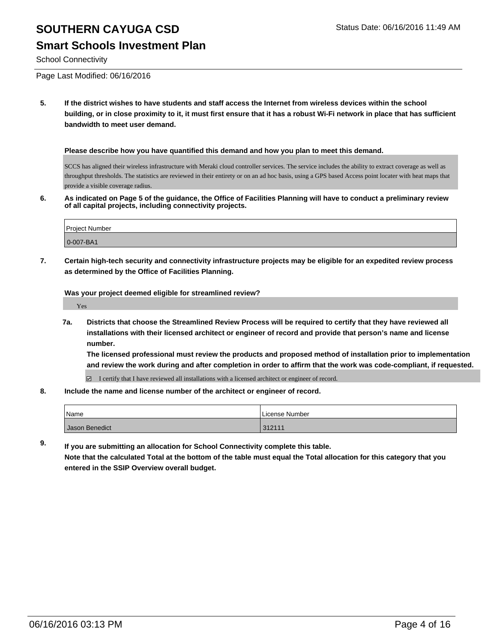### **Smart Schools Investment Plan**

School Connectivity

Page Last Modified: 06/16/2016

**5. If the district wishes to have students and staff access the Internet from wireless devices within the school building, or in close proximity to it, it must first ensure that it has a robust Wi-Fi network in place that has sufficient bandwidth to meet user demand.**

**Please describe how you have quantified this demand and how you plan to meet this demand.**

SCCS has aligned their wireless infrastructure with Meraki cloud controller services. The service includes the ability to extract coverage as well as throughput thresholds. The statistics are reviewed in their entirety or on an ad hoc basis, using a GPS based Access point locater with heat maps that provide a visible coverage radius.

**6. As indicated on Page 5 of the guidance, the Office of Facilities Planning will have to conduct a preliminary review of all capital projects, including connectivity projects.**

| <b>Project Number</b> |  |
|-----------------------|--|
| $ 0-007-BA1$          |  |

**7. Certain high-tech security and connectivity infrastructure projects may be eligible for an expedited review process as determined by the Office of Facilities Planning.**

**Was your project deemed eligible for streamlined review?**

Yes

**7a. Districts that choose the Streamlined Review Process will be required to certify that they have reviewed all installations with their licensed architect or engineer of record and provide that person's name and license number.**

**The licensed professional must review the products and proposed method of installation prior to implementation and review the work during and after completion in order to affirm that the work was code-compliant, if requested.**

 $\boxtimes$  I certify that I have reviewed all installations with a licensed architect or engineer of record.

**8. Include the name and license number of the architect or engineer of record.**

| Name           | License Number |
|----------------|----------------|
| Jason Benedict | 312111         |

**9. If you are submitting an allocation for School Connectivity complete this table. Note that the calculated Total at the bottom of the table must equal the Total allocation for this category that you entered in the SSIP Overview overall budget.**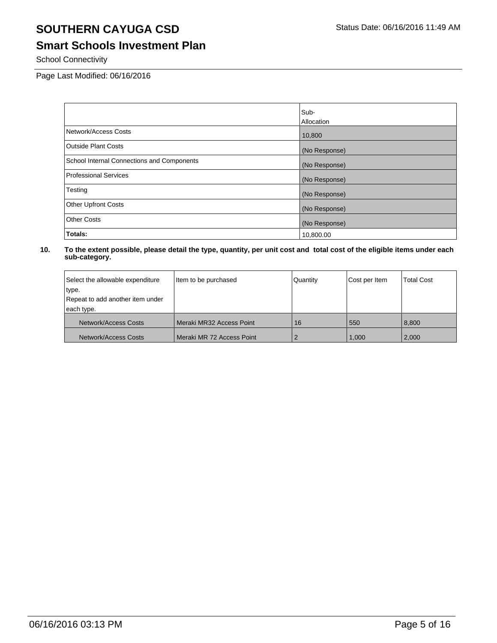## **Smart Schools Investment Plan**

School Connectivity

Page Last Modified: 06/16/2016

|                                            | Sub-              |
|--------------------------------------------|-------------------|
|                                            | <b>Allocation</b> |
| Network/Access Costs                       | 10,800            |
| <b>Outside Plant Costs</b>                 | (No Response)     |
| School Internal Connections and Components | (No Response)     |
| <b>Professional Services</b>               | (No Response)     |
| Testing                                    | (No Response)     |
| <b>Other Upfront Costs</b>                 | (No Response)     |
| <b>Other Costs</b>                         | (No Response)     |
| Totals:                                    | 10,800.00         |

| Select the allowable expenditure | Item to be purchased      | Quantity | Cost per Item | <b>Total Cost</b> |
|----------------------------------|---------------------------|----------|---------------|-------------------|
| type.                            |                           |          |               |                   |
| Repeat to add another item under |                           |          |               |                   |
| each type.                       |                           |          |               |                   |
| Network/Access Costs             | Meraki MR32 Access Point  | 16       | 550           | 8.800             |
| Network/Access Costs             | Meraki MR 72 Access Point |          | 1.000         | 2,000             |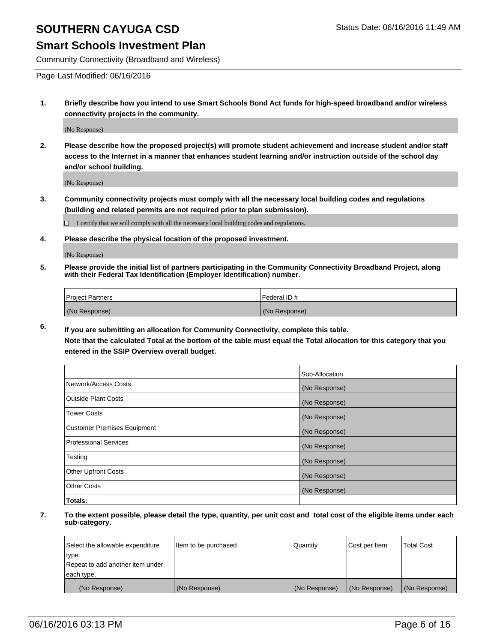#### **Smart Schools Investment Plan**

Community Connectivity (Broadband and Wireless)

Page Last Modified: 06/16/2016

**1. Briefly describe how you intend to use Smart Schools Bond Act funds for high-speed broadband and/or wireless connectivity projects in the community.**

(No Response)

**2. Please describe how the proposed project(s) will promote student achievement and increase student and/or staff access to the Internet in a manner that enhances student learning and/or instruction outside of the school day and/or school building.**

(No Response)

**3. Community connectivity projects must comply with all the necessary local building codes and regulations (building and related permits are not required prior to plan submission).**

 $\Box$  I certify that we will comply with all the necessary local building codes and regulations.

**4. Please describe the physical location of the proposed investment.**

(No Response)

**5. Please provide the initial list of partners participating in the Community Connectivity Broadband Project, along with their Federal Tax Identification (Employer Identification) number.**

| Project Partners | l Federal ID # |
|------------------|----------------|
| (No Response)    | (No Response)  |

**6. If you are submitting an allocation for Community Connectivity, complete this table. Note that the calculated Total at the bottom of the table must equal the Total allocation for this category that you**

**entered in the SSIP Overview overall budget.**

|                             | Sub-Allocation |
|-----------------------------|----------------|
| Network/Access Costs        | (No Response)  |
| Outside Plant Costs         | (No Response)  |
| <b>Tower Costs</b>          | (No Response)  |
| Customer Premises Equipment | (No Response)  |
| Professional Services       | (No Response)  |
| Testing                     | (No Response)  |
| <b>Other Upfront Costs</b>  | (No Response)  |
| Other Costs                 | (No Response)  |
| Totals:                     |                |

| Select the allowable expenditure | Item to be purchased | Quantity      | Cost per Item | <b>Total Cost</b> |
|----------------------------------|----------------------|---------------|---------------|-------------------|
| type.                            |                      |               |               |                   |
| Repeat to add another item under |                      |               |               |                   |
| each type.                       |                      |               |               |                   |
| (No Response)                    | (No Response)        | (No Response) | (No Response) | (No Response)     |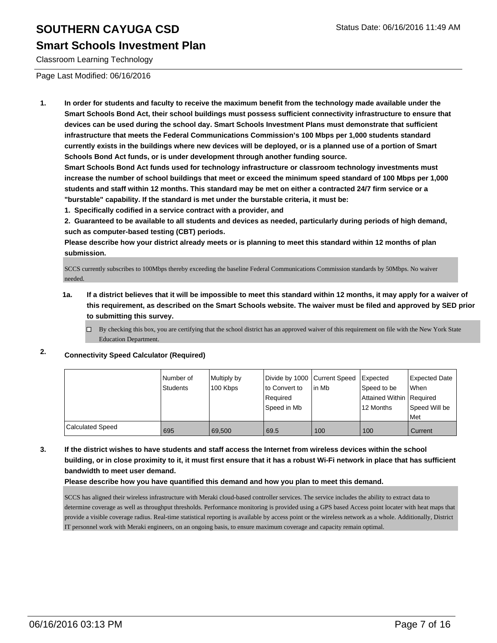#### **Smart Schools Investment Plan**

Classroom Learning Technology

Page Last Modified: 06/16/2016

**1. In order for students and faculty to receive the maximum benefit from the technology made available under the Smart Schools Bond Act, their school buildings must possess sufficient connectivity infrastructure to ensure that devices can be used during the school day. Smart Schools Investment Plans must demonstrate that sufficient infrastructure that meets the Federal Communications Commission's 100 Mbps per 1,000 students standard currently exists in the buildings where new devices will be deployed, or is a planned use of a portion of Smart Schools Bond Act funds, or is under development through another funding source.**

**Smart Schools Bond Act funds used for technology infrastructure or classroom technology investments must increase the number of school buildings that meet or exceed the minimum speed standard of 100 Mbps per 1,000 students and staff within 12 months. This standard may be met on either a contracted 24/7 firm service or a "burstable" capability. If the standard is met under the burstable criteria, it must be:**

**1. Specifically codified in a service contract with a provider, and**

**2. Guaranteed to be available to all students and devices as needed, particularly during periods of high demand, such as computer-based testing (CBT) periods.**

**Please describe how your district already meets or is planning to meet this standard within 12 months of plan submission.**

SCCS currently subscribes to 100Mbps thereby exceeding the baseline Federal Communications Commission standards by 50Mbps. No waiver needed.

- **1a. If a district believes that it will be impossible to meet this standard within 12 months, it may apply for a waiver of this requirement, as described on the Smart Schools website. The waiver must be filed and approved by SED prior to submitting this survey.**
	- $\Box$  By checking this box, you are certifying that the school district has an approved waiver of this requirement on file with the New York State Education Department.

#### **2. Connectivity Speed Calculator (Required)**

|                  | Number of<br><b>Students</b> | Multiply by<br>100 Kbps | Divide by 1000 Current Speed<br>Ito Convert to<br>Required<br>Speed in Mb | lin Mb | Expected<br>Speed to be<br>Attained Within Required<br>12 Months | Expected Date<br><b>When</b><br>Speed Will be<br>l Met |
|------------------|------------------------------|-------------------------|---------------------------------------------------------------------------|--------|------------------------------------------------------------------|--------------------------------------------------------|
| Calculated Speed | 695                          | 69.500                  | 69.5                                                                      | 100    | 100                                                              | Current                                                |

**3. If the district wishes to have students and staff access the Internet from wireless devices within the school building, or in close proximity to it, it must first ensure that it has a robust Wi-Fi network in place that has sufficient bandwidth to meet user demand.**

**Please describe how you have quantified this demand and how you plan to meet this demand.**

SCCS has aligned their wireless infrastructure with Meraki cloud-based controller services. The service includes the ability to extract data to determine coverage as well as throughput thresholds. Performance monitoring is provided using a GPS based Access point locater with heat maps that provide a visible coverage radius. Real-time statistical reporting is available by access point or the wireless network as a whole. Additionally, District IT personnel work with Meraki engineers, on an ongoing basis, to ensure maximum coverage and capacity remain optimal.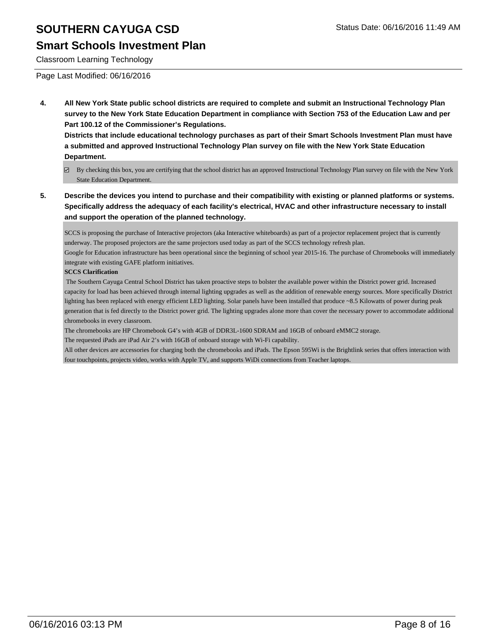### **Smart Schools Investment Plan**

Classroom Learning Technology

Page Last Modified: 06/16/2016

**4. All New York State public school districts are required to complete and submit an Instructional Technology Plan survey to the New York State Education Department in compliance with Section 753 of the Education Law and per Part 100.12 of the Commissioner's Regulations.**

**Districts that include educational technology purchases as part of their Smart Schools Investment Plan must have a submitted and approved Instructional Technology Plan survey on file with the New York State Education Department.**

- By checking this box, you are certifying that the school district has an approved Instructional Technology Plan survey on file with the New York State Education Department.
- **5. Describe the devices you intend to purchase and their compatibility with existing or planned platforms or systems. Specifically address the adequacy of each facility's electrical, HVAC and other infrastructure necessary to install and support the operation of the planned technology.**

SCCS is proposing the purchase of Interactive projectors (aka Interactive whiteboards) as part of a projector replacement project that is currently underway. The proposed projectors are the same projectors used today as part of the SCCS technology refresh plan.

Google for Education infrastructure has been operational since the beginning of school year 2015-16. The purchase of Chromebooks will immediately integrate with existing GAFE platform initiatives.

#### **SCCS Clarification**

 The Southern Cayuga Central School District has taken proactive steps to bolster the available power within the District power grid. Increased capacity for load has been achieved through internal lighting upgrades as well as the addition of renewable energy sources. More specifically District lighting has been replaced with energy efficient LED lighting. Solar panels have been installed that produce ~8.5 Kilowatts of power during peak generation that is fed directly to the District power grid. The lighting upgrades alone more than cover the necessary power to accommodate additional chromebooks in every classroom.

The chromebooks are HP Chromebook G4's with 4GB of DDR3L-1600 SDRAM and 16GB of onboard eMMC2 storage.

The requested iPads are iPad Air 2's with 16GB of onboard storage with Wi-Fi capability.

All other devices are accessories for charging both the chromebooks and iPads. The Epson 595Wi is the Brightlink series that offers interaction with four touchpoints, projects video, works with Apple TV, and supports WiDi connections from Teacher laptops.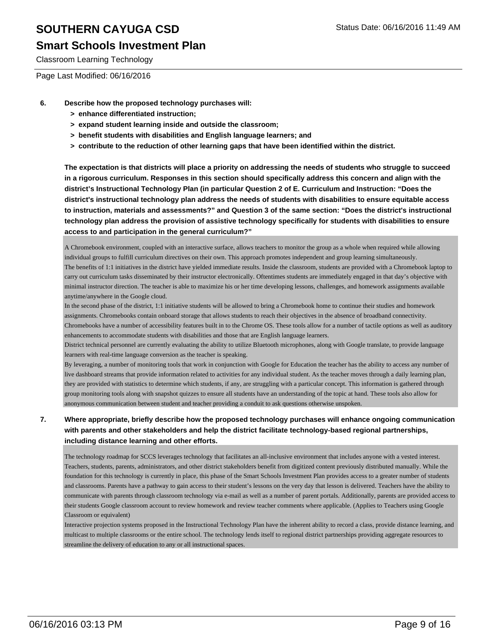## **Smart Schools Investment Plan**

Classroom Learning Technology

Page Last Modified: 06/16/2016

- **6. Describe how the proposed technology purchases will:**
	- **> enhance differentiated instruction;**
	- **> expand student learning inside and outside the classroom;**
	- **> benefit students with disabilities and English language learners; and**
	- **> contribute to the reduction of other learning gaps that have been identified within the district.**

**The expectation is that districts will place a priority on addressing the needs of students who struggle to succeed in a rigorous curriculum. Responses in this section should specifically address this concern and align with the district's Instructional Technology Plan (in particular Question 2 of E. Curriculum and Instruction: "Does the district's instructional technology plan address the needs of students with disabilities to ensure equitable access to instruction, materials and assessments?" and Question 3 of the same section: "Does the district's instructional technology plan address the provision of assistive technology specifically for students with disabilities to ensure access to and participation in the general curriculum?"**

A Chromebook environment, coupled with an interactive surface, allows teachers to monitor the group as a whole when required while allowing individual groups to fulfill curriculum directives on their own. This approach promotes independent and group learning simultaneously. The benefits of 1:1 initiatives in the district have yielded immediate results. Inside the classroom, students are provided with a Chromebook laptop to carry out curriculum tasks disseminated by their instructor electronically. Oftentimes students are immediately engaged in that day's objective with minimal instructor direction. The teacher is able to maximize his or her time developing lessons, challenges, and homework assignments available anytime/anywhere in the Google cloud.

In the second phase of the district, 1:1 initiative students will be allowed to bring a Chromebook home to continue their studies and homework assignments. Chromebooks contain onboard storage that allows students to reach their objectives in the absence of broadband connectivity. Chromebooks have a number of accessibility features built in to the Chrome OS. These tools allow for a number of tactile options as well as auditory enhancements to accommodate students with disabilities and those that are English language learners.

District technical personnel are currently evaluating the ability to utilize Bluetooth microphones, along with Google translate, to provide language learners with real-time language conversion as the teacher is speaking.

By leveraging, a number of monitoring tools that work in conjunction with Google for Education the teacher has the ability to access any number of live dashboard streams that provide information related to activities for any individual student. As the teacher moves through a daily learning plan, they are provided with statistics to determine which students, if any, are struggling with a particular concept. This information is gathered through group monitoring tools along with snapshot quizzes to ensure all students have an understanding of the topic at hand. These tools also allow for anonymous communication between student and teacher providing a conduit to ask questions otherwise unspoken.

#### **7. Where appropriate, briefly describe how the proposed technology purchases will enhance ongoing communication with parents and other stakeholders and help the district facilitate technology-based regional partnerships, including distance learning and other efforts.**

The technology roadmap for SCCS leverages technology that facilitates an all-inclusive environment that includes anyone with a vested interest. Teachers, students, parents, administrators, and other district stakeholders benefit from digitized content previously distributed manually. While the foundation for this technology is currently in place, this phase of the Smart Schools Investment Plan provides access to a greater number of students and classrooms. Parents have a pathway to gain access to their student's lessons on the very day that lesson is delivered. Teachers have the ability to communicate with parents through classroom technology via e-mail as well as a number of parent portals. Additionally, parents are provided access to their students Google classroom account to review homework and review teacher comments where applicable. (Applies to Teachers using Google Classroom or equivalent)

Interactive projection systems proposed in the Instructional Technology Plan have the inherent ability to record a class, provide distance learning, and multicast to multiple classrooms or the entire school. The technology lends itself to regional district partnerships providing aggregate resources to streamline the delivery of education to any or all instructional spaces.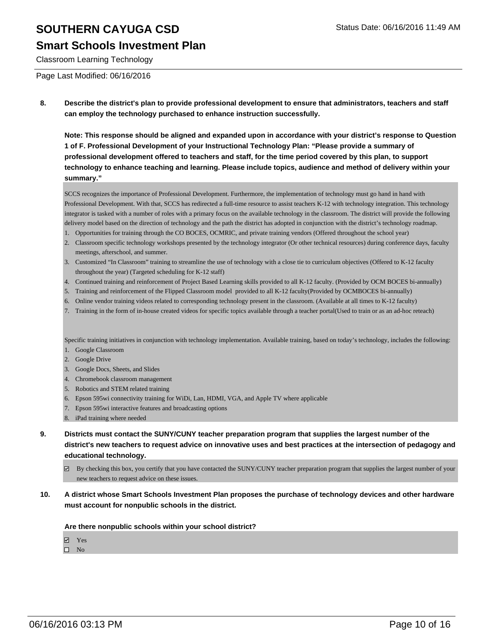#### **Smart Schools Investment Plan**

Classroom Learning Technology

Page Last Modified: 06/16/2016

**8. Describe the district's plan to provide professional development to ensure that administrators, teachers and staff can employ the technology purchased to enhance instruction successfully.**

**Note: This response should be aligned and expanded upon in accordance with your district's response to Question 1 of F. Professional Development of your Instructional Technology Plan: "Please provide a summary of professional development offered to teachers and staff, for the time period covered by this plan, to support technology to enhance teaching and learning. Please include topics, audience and method of delivery within your summary."**

SCCS recognizes the importance of Professional Development. Furthermore, the implementation of technology must go hand in hand with Professional Development. With that, SCCS has redirected a full-time resource to assist teachers K-12 with technology integration. This technology integrator is tasked with a number of roles with a primary focus on the available technology in the classroom. The district will provide the following delivery model based on the direction of technology and the path the district has adopted in conjunction with the district's technology roadmap.

- 1. Opportunities for training through the CO BOCES, OCMRIC, and private training vendors (Offered throughout the school year)
- Classroom specific technology workshops presented by the technology integrator (Or other technical resources) during conference days, faculty 2. meetings, afterschool, and summer.
- 3. Customized "In Classroom" training to streamline the use of technology with a close tie to curriculum objectives (Offered to K-12 faculty throughout the year) (Targeted scheduling for K-12 staff)
- 4. Continued training and reinforcement of Project Based Learning skills provided to all K-12 faculty. (Provided by OCM BOCES bi-annually)
- 5. Training and reinforcement of the Flipped Classroom model provided to all K-12 faculty(Provided by OCMBOCES bi-annually)
- 6. Online vendor training videos related to corresponding technology present in the classroom. (Available at all times to K-12 faculty)
- 7. Training in the form of in-house created videos for specific topics available through a teacher portal(Used to train or as an ad-hoc reteach)

Specific training initiatives in conjunction with technology implementation. Available training, based on today's technology, includes the following:

- 1. Google Classroom
- 2. Google Drive
- 3. Google Docs, Sheets, and Slides
- 4. Chromebook classroom management
- 5. Robotics and STEM related training
- 6. Epson 595wi connectivity training for WiDi, Lan, HDMI, VGA, and Apple TV where applicable
- 7. Epson 595wi interactive features and broadcasting options
- 8. iPad training where needed
- **9. Districts must contact the SUNY/CUNY teacher preparation program that supplies the largest number of the district's new teachers to request advice on innovative uses and best practices at the intersection of pedagogy and educational technology.**
	- By checking this box, you certify that you have contacted the SUNY/CUNY teacher preparation program that supplies the largest number of your new teachers to request advice on these issues.
- **10. A district whose Smart Schools Investment Plan proposes the purchase of technology devices and other hardware must account for nonpublic schools in the district.**

**Are there nonpublic schools within your school district?**

Yes

 $\square$  No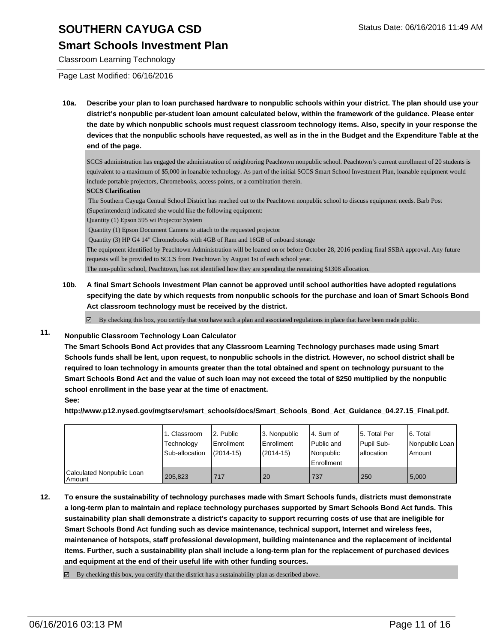### **Smart Schools Investment Plan**

Classroom Learning Technology

Page Last Modified: 06/16/2016

**10a. Describe your plan to loan purchased hardware to nonpublic schools within your district. The plan should use your district's nonpublic per-student loan amount calculated below, within the framework of the guidance. Please enter the date by which nonpublic schools must request classroom technology items. Also, specify in your response the devices that the nonpublic schools have requested, as well as in the in the Budget and the Expenditure Table at the end of the page.**

SCCS administration has engaged the administration of neighboring Peachtown nonpublic school. Peachtown's current enrollment of 20 students is equivalent to a maximum of \$5,000 in loanable technology. As part of the initial SCCS Smart School Investment Plan, loanable equipment would include portable projectors, Chromebooks, access points, or a combination therein.

#### **SCCS Clarification**

 The Southern Cayuga Central School District has reached out to the Peachtown nonpublic school to discuss equipment needs. Barb Post (Superintendent) indicated she would like the following equipment:

Quantity (1) Epson 595 wi Projector System

Quantity (1) Epson Document Camera to attach to the requested projector

Quantity (3) HP G4 14" Chromebooks with 4GB of Ram and 16GB of onboard storage

The equipment identified by Peachtown Administration will be loaned on or before October 28, 2016 pending final SSBA approval. Any future requests will be provided to SCCS from Peachtown by August 1st of each school year.

The non-public school, Peachtown, has not identified how they are spending the remaining \$1308 allocation.

**10b. A final Smart Schools Investment Plan cannot be approved until school authorities have adopted regulations specifying the date by which requests from nonpublic schools for the purchase and loan of Smart Schools Bond Act classroom technology must be received by the district.**

 $\boxtimes$  By checking this box, you certify that you have such a plan and associated regulations in place that have been made public.

#### **11. Nonpublic Classroom Technology Loan Calculator**

**The Smart Schools Bond Act provides that any Classroom Learning Technology purchases made using Smart Schools funds shall be lent, upon request, to nonpublic schools in the district. However, no school district shall be required to loan technology in amounts greater than the total obtained and spent on technology pursuant to the Smart Schools Bond Act and the value of such loan may not exceed the total of \$250 multiplied by the nonpublic school enrollment in the base year at the time of enactment. See:**

**http://www.p12.nysed.gov/mgtserv/smart\_schools/docs/Smart\_Schools\_Bond\_Act\_Guidance\_04.27.15\_Final.pdf.**

|                                         | 1. Classroom<br>Technology<br>Sub-allocation | 2. Public<br><b>Enrollment</b><br>$(2014 - 15)$ | 13. Nonpublic<br><b>Enrollment</b><br>$(2014 - 15)$ | 4. Sum of<br>Public and<br>Nonpublic<br>Enrollment | 15. Total Per<br>Pupil Sub-<br>allocation | 6. Total<br>Nonpublic Loan<br>l Amount |
|-----------------------------------------|----------------------------------------------|-------------------------------------------------|-----------------------------------------------------|----------------------------------------------------|-------------------------------------------|----------------------------------------|
| Calculated Nonpublic Loan<br>l Amount i | 205.823                                      | 717                                             | 20                                                  | 737                                                | 250                                       | 5.000                                  |

**12. To ensure the sustainability of technology purchases made with Smart Schools funds, districts must demonstrate a long-term plan to maintain and replace technology purchases supported by Smart Schools Bond Act funds. This sustainability plan shall demonstrate a district's capacity to support recurring costs of use that are ineligible for Smart Schools Bond Act funding such as device maintenance, technical support, Internet and wireless fees, maintenance of hotspots, staff professional development, building maintenance and the replacement of incidental items. Further, such a sustainability plan shall include a long-term plan for the replacement of purchased devices and equipment at the end of their useful life with other funding sources.**

 $\boxtimes$  By checking this box, you certify that the district has a sustainability plan as described above.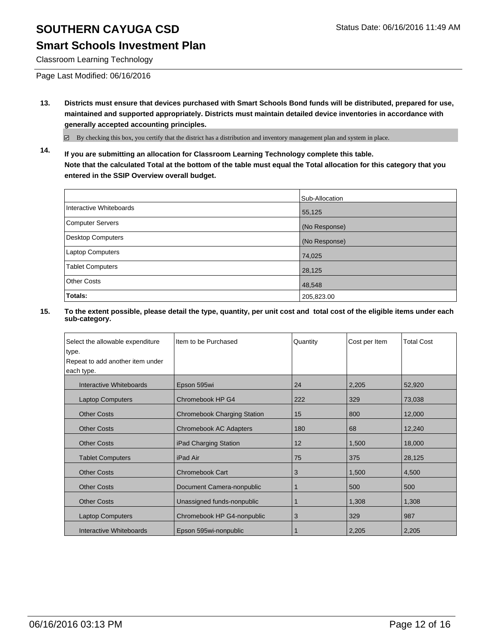### **Smart Schools Investment Plan**

Classroom Learning Technology

Page Last Modified: 06/16/2016

**13. Districts must ensure that devices purchased with Smart Schools Bond funds will be distributed, prepared for use, maintained and supported appropriately. Districts must maintain detailed device inventories in accordance with generally accepted accounting principles.**

By checking this box, you certify that the district has a distribution and inventory management plan and system in place.

**14. If you are submitting an allocation for Classroom Learning Technology complete this table. Note that the calculated Total at the bottom of the table must equal the Total allocation for this category that you entered in the SSIP Overview overall budget.**

|                          | Sub-Allocation |
|--------------------------|----------------|
| Interactive Whiteboards  | 55,125         |
| <b>Computer Servers</b>  | (No Response)  |
| <b>Desktop Computers</b> | (No Response)  |
| Laptop Computers         | 74,025         |
| <b>Tablet Computers</b>  | 28,125         |
| <b>Other Costs</b>       | 48,548         |
| Totals:                  | 205,823.00     |

| Select the allowable expenditure | Item to be Purchased               | Quantity | Cost per Item | <b>Total Cost</b> |
|----------------------------------|------------------------------------|----------|---------------|-------------------|
| type.                            |                                    |          |               |                   |
| Repeat to add another item under |                                    |          |               |                   |
| each type.                       |                                    |          |               |                   |
| Interactive Whiteboards          | Epson 595wi                        | 24       | 2,205         | 52,920            |
| <b>Laptop Computers</b>          | Chromebook HP G4                   | 222      | 329           | 73,038            |
| <b>Other Costs</b>               | <b>Chromebook Charging Station</b> | 15       | 800           | 12,000            |
| <b>Other Costs</b>               | <b>Chromebook AC Adapters</b>      | 180      | 68            | 12,240            |
| <b>Other Costs</b>               | iPad Charging Station              | 12       | 1,500         | 18,000            |
| <b>Tablet Computers</b>          | iPad Air                           | 75       | 375           | 28,125            |
| <b>Other Costs</b>               | <b>Chromebook Cart</b>             | 3        | 1,500         | 4,500             |
| <b>Other Costs</b>               | Document Camera-nonpublic          | 1        | 500           | 500               |
| <b>Other Costs</b>               | Unassigned funds-nonpublic         |          | 1,308         | 1,308             |
| <b>Laptop Computers</b>          | Chromebook HP G4-nonpublic         | 3        | 329           | 987               |
| Interactive Whiteboards          | Epson 595wi-nonpublic              |          | 2,205         | 2,205             |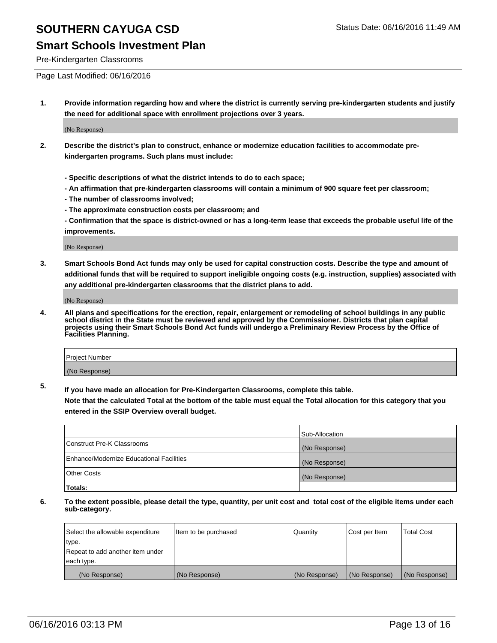## **Smart Schools Investment Plan**

Pre-Kindergarten Classrooms

Page Last Modified: 06/16/2016

**1. Provide information regarding how and where the district is currently serving pre-kindergarten students and justify the need for additional space with enrollment projections over 3 years.**

(No Response)

- **2. Describe the district's plan to construct, enhance or modernize education facilities to accommodate prekindergarten programs. Such plans must include:**
	- **Specific descriptions of what the district intends to do to each space;**
	- **An affirmation that pre-kindergarten classrooms will contain a minimum of 900 square feet per classroom;**
	- **The number of classrooms involved;**
	- **The approximate construction costs per classroom; and**
	- **Confirmation that the space is district-owned or has a long-term lease that exceeds the probable useful life of the improvements.**

(No Response)

**3. Smart Schools Bond Act funds may only be used for capital construction costs. Describe the type and amount of additional funds that will be required to support ineligible ongoing costs (e.g. instruction, supplies) associated with any additional pre-kindergarten classrooms that the district plans to add.**

(No Response)

**4. All plans and specifications for the erection, repair, enlargement or remodeling of school buildings in any public school district in the State must be reviewed and approved by the Commissioner. Districts that plan capital projects using their Smart Schools Bond Act funds will undergo a Preliminary Review Process by the Office of Facilities Planning.**

| Project Number |  |
|----------------|--|
| (No Response)  |  |

**5. If you have made an allocation for Pre-Kindergarten Classrooms, complete this table.**

**Note that the calculated Total at the bottom of the table must equal the Total allocation for this category that you entered in the SSIP Overview overall budget.**

|                                          | Sub-Allocation |
|------------------------------------------|----------------|
| Construct Pre-K Classrooms               | (No Response)  |
| Enhance/Modernize Educational Facilities | (No Response)  |
| Other Costs                              | (No Response)  |
| Totals:                                  |                |

| Select the allowable expenditure | Item to be purchased | Quantity      | Cost per Item | <b>Total Cost</b> |
|----------------------------------|----------------------|---------------|---------------|-------------------|
| type.                            |                      |               |               |                   |
| Repeat to add another item under |                      |               |               |                   |
| each type.                       |                      |               |               |                   |
| (No Response)                    | (No Response)        | (No Response) | (No Response) | (No Response)     |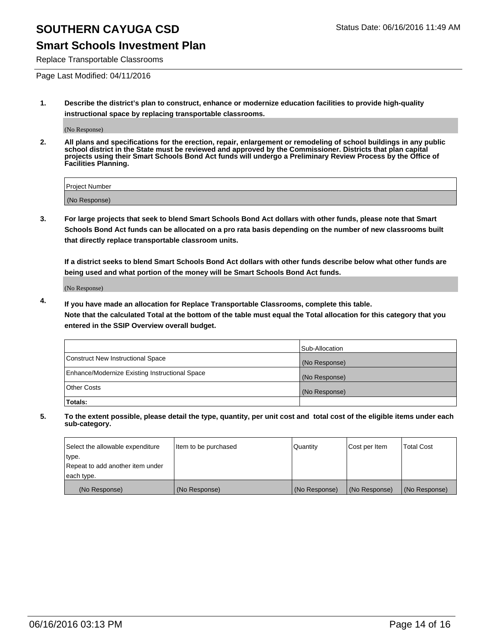## **Smart Schools Investment Plan**

Replace Transportable Classrooms

Page Last Modified: 04/11/2016

**1. Describe the district's plan to construct, enhance or modernize education facilities to provide high-quality instructional space by replacing transportable classrooms.**

(No Response)

**2. All plans and specifications for the erection, repair, enlargement or remodeling of school buildings in any public school district in the State must be reviewed and approved by the Commissioner. Districts that plan capital projects using their Smart Schools Bond Act funds will undergo a Preliminary Review Process by the Office of Facilities Planning.**

| <b>Project Number</b> |  |
|-----------------------|--|
| (No Response)         |  |

**3. For large projects that seek to blend Smart Schools Bond Act dollars with other funds, please note that Smart Schools Bond Act funds can be allocated on a pro rata basis depending on the number of new classrooms built that directly replace transportable classroom units.**

**If a district seeks to blend Smart Schools Bond Act dollars with other funds describe below what other funds are being used and what portion of the money will be Smart Schools Bond Act funds.**

(No Response)

**4. If you have made an allocation for Replace Transportable Classrooms, complete this table. Note that the calculated Total at the bottom of the table must equal the Total allocation for this category that you entered in the SSIP Overview overall budget.**

|                                                | Sub-Allocation |
|------------------------------------------------|----------------|
| Construct New Instructional Space              | (No Response)  |
| Enhance/Modernize Existing Instructional Space | (No Response)  |
| <b>Other Costs</b>                             | (No Response)  |
| Totals:                                        |                |

| Select the allowable expenditure | Item to be purchased | <b>Quantity</b> | Cost per Item | <b>Total Cost</b> |
|----------------------------------|----------------------|-----------------|---------------|-------------------|
| type.                            |                      |                 |               |                   |
| Repeat to add another item under |                      |                 |               |                   |
| each type.                       |                      |                 |               |                   |
| (No Response)                    | (No Response)        | (No Response)   | (No Response) | (No Response)     |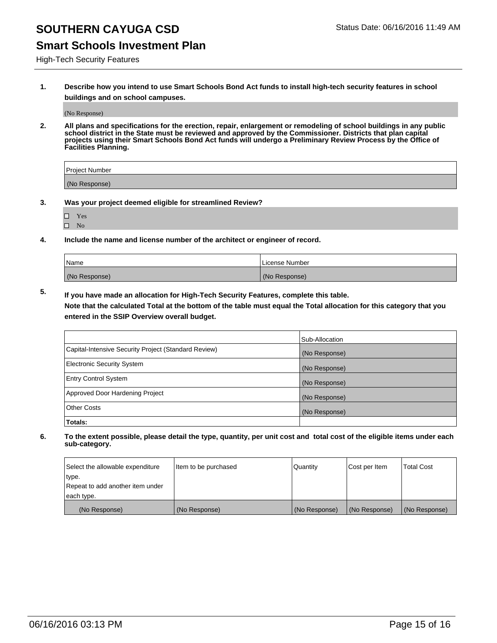## **Smart Schools Investment Plan**

High-Tech Security Features

**1. Describe how you intend to use Smart Schools Bond Act funds to install high-tech security features in school buildings and on school campuses.**

(No Response)

**2. All plans and specifications for the erection, repair, enlargement or remodeling of school buildings in any public school district in the State must be reviewed and approved by the Commissioner. Districts that plan capital projects using their Smart Schools Bond Act funds will undergo a Preliminary Review Process by the Office of Facilities Planning.** 

| Project Number |  |
|----------------|--|
| (No Response)  |  |

- **3. Was your project deemed eligible for streamlined Review?**
	- Yes
	- $\square$  No
- **4. Include the name and license number of the architect or engineer of record.**

| Name          | License Number |
|---------------|----------------|
| (No Response) | (No Response)  |

**5. If you have made an allocation for High-Tech Security Features, complete this table.**

**Note that the calculated Total at the bottom of the table must equal the Total allocation for this category that you entered in the SSIP Overview overall budget.**

|                                                      | Sub-Allocation |
|------------------------------------------------------|----------------|
| Capital-Intensive Security Project (Standard Review) | (No Response)  |
| <b>Electronic Security System</b>                    | (No Response)  |
| <b>Entry Control System</b>                          | (No Response)  |
| Approved Door Hardening Project                      | (No Response)  |
| <b>Other Costs</b>                                   | (No Response)  |
| Totals:                                              |                |

| Select the allowable expenditure | litem to be purchased | Quantity      | Cost per Item | Total Cost    |
|----------------------------------|-----------------------|---------------|---------------|---------------|
| type.                            |                       |               |               |               |
| Repeat to add another item under |                       |               |               |               |
| each type.                       |                       |               |               |               |
| (No Response)                    | (No Response)         | (No Response) | (No Response) | (No Response) |